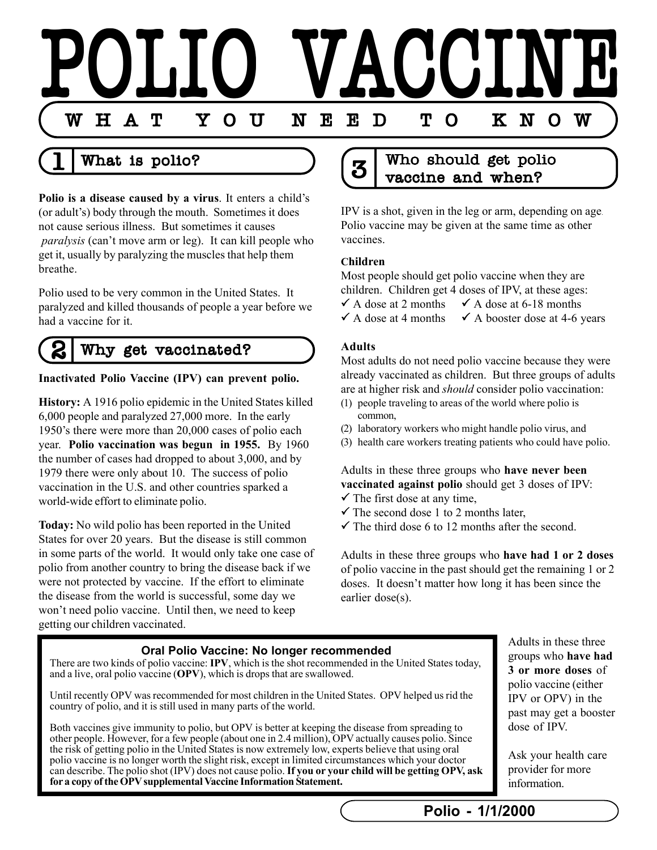

## What is polio?

**Polio is a disease caused by a virus**. It enters a child's (or adult's) body through the mouth. Sometimes it does not cause serious illness. But sometimes it causes *paralysis* (can't move arm or leg). It can kill people who get it, usually by paralyzing the muscles that help them breathe.

Polio used to be very common in the United States. It paralyzed and killed thousands of people a year before we had a vaccine for it.

### 2 Why get vaccinated?

### **Inactivated Polio Vaccine (IPV) can prevent polio.**

**History:** A 1916 polio epidemic in the United States killed 6,000 people and paralyzed 27,000 more. In the early 1950's there were more than 20,000 cases of polio each year. **Polio vaccination was begun in 1955.** By 1960 the number of cases had dropped to about 3,000, and by 1979 there were only about 10. The success of polio vaccination in the U.S. and other countries sparked a world-wide effort to eliminate polio.

**Today:** No wild polio has been reported in the United States for over 20 years. But the disease is still common in some parts of the world. It would only take one case of polio from another country to bring the disease back if we were not protected by vaccine. If the effort to eliminate the disease from the world is successful, some day we won't need polio vaccine. Until then, we need to keep getting our children vaccinated.

# $3 \frac{1}{3}$  Who should get polio vaccine and when?

IPV is a shot, given in the leg or arm, depending on age. Polio vaccine may be given at the same time as other vaccines.

### **Children**

Most people should get polio vaccine when they are children. Children get 4 doses of IPV, at these ages:

 $\checkmark$  A dose at 2 months  $\checkmark$  A dose at 6-18 months

 $\checkmark$  A dose at 4 months  $\checkmark$  A booster dose at 4-6 years

### **Adults**

Most adults do not need polio vaccine because they were already vaccinated as children. But three groups of adults are at higher risk and *should* consider polio vaccination:

- (1) people traveling to areas of the world where polio is common,
- (2) laboratory workers who might handle polio virus, and
- (3) health care workers treating patients who could have polio.

Adults in these three groups who **have never been vaccinated against polio** should get 3 doses of IPV:  $\checkmark$  The first dose at any time,

- $\checkmark$  The second dose 1 to 2 months later,
- $\checkmark$  The third dose 6 to 12 months after the second.

Adults in these three groups who **have had 1 or 2 doses** of polio vaccine in the past should get the remaining 1 or 2 doses. It doesn't matter how long it has been since the earlier dose(s).

### **Oral Polio Vaccine: No longer recommended**

There are two kinds of polio vaccine: **IPV**, which is the shot recommended in the United States today, and a live, oral polio vaccine (**OPV**), which is drops that are swallowed.

Until recently OPV was recommended for most children in the United States. OPV helped us rid the country of polio, and it is still used in many parts of the world.

Both vaccines give immunity to polio, but OPV is better at keeping the disease from spreading to other people. However, for a few people (about one in 2.4 million), OPV actually causes polio. Since the risk of getting polio in the United States is now extremely low, experts believe that using oral polio vaccine is no longer worth the slight risk, except in limited circumstances which your doctor can describe. The polio shot (IPV) does not cause polio. **If you or your child will be getting OPV, ask for a copy of the OPV supplemental Vaccine Information Statement.**

Adults in these three groups who **have had 3 or more doses** of polio vaccine (either IPV or OPV) in the past may get a booster dose of IPV.

Ask your health care provider for more information.

**Polio - 1/1/2000**